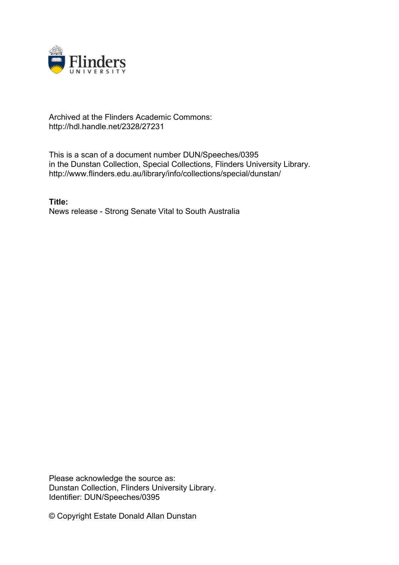

## Archived at the Flinders Academic Commons: http://hdl.handle.net/2328/27231

This is a scan of a document number DUN/Speeches/0395 in the Dunstan Collection, Special Collections, Flinders University Library. http://www.flinders.edu.au/library/info/collections/special/dunstan/

**Title:** News release - Strong Senate Vital to South Australia

Please acknowledge the source as: Dunstan Collection, Flinders University Library. Identifier: DUN/Speeches/0395

© Copyright Estate Donald Allan Dunstan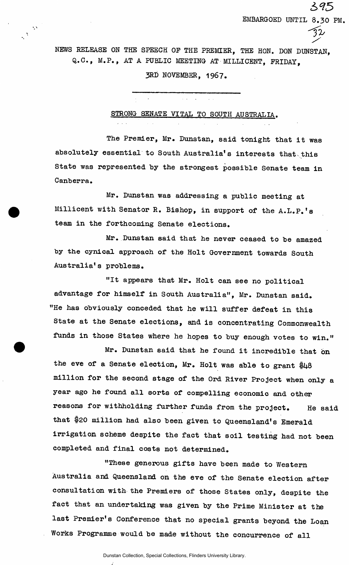NEWS RELEASE ON THE SPEECH OP THE PREMIER, THE HON. DON DUNSTAN, Q.C., M.P., AT A PUBLIC MEETING AT MILLICENT, FRIDAY,

395

*-fb* 

EMBARGOED UNTIL 8.30 PM.

3RD NOVEMBER, 1967.

STRONG SENATE VITAL TO SOUTH AUSTRALIA.

 $\sim 10^{11}$  km s  $^{-1}$ 

The Premier, Mr. Dunstan, said tonight that it was absolutely essential to South Australia's interests that this State was represented by the strongest possible Senate team in Canberra.

Mr. Dunstan was addressing a public meeting at Millicent with Senator R. Bishop, in support of the A.L.P.'s team in the forthcoming Senate elections.

Mr. Dunstan said that he never ceased to be amazed by the cynical approach of the Holt Government towards South Australia's problems.

"It appears that Mr. Holt can see no political advantage for himself in South Australia", Mr. Dunstan said. "He has obviously conceded that he will suffer defeat in this State at the Senate elections, and is concentrating Commonwealth funds in those States where he hopes to buy enough votes to win."

Mr. Dunstan said that he found it incredible that on the eve of a Senate election, Mr. Holt was able to grant \$48 million for the second stage of the Ord River Project when only a year ago he found all sorts of compelling economic and other reasons for withholding further funds from the project. He said that \$20 million had also been given to Queensland's Emerald irrigation scheme despite the fact that soil testing had not been completed and final costs not determined.

"These generous gifts have been made to Western Australia and Queensland on the eve of the Senate election after consultation with the Premiers of those States only, despite the fact that an undertaking was given by the Prime Minister at the last Premier's Conference that no special grants beyond the Loan Works Programme would be made without the concurrence of all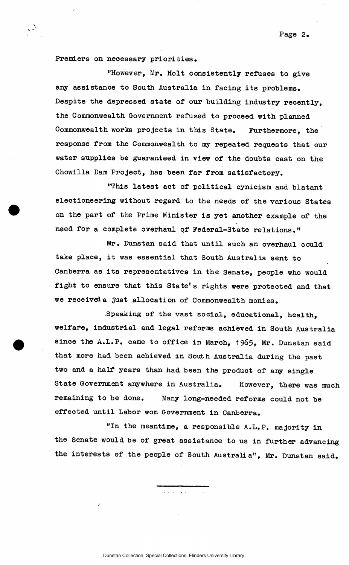Page 2.

Premiers on necessary priorities .

 $\mathcal{L}$ 

"However, Mr. Holt consistently refuses to give any assistance to South Australia in facing its problems. Despite the depressed state of our building industry recently. the Commonwealth Government refused to proceed with planned Commonwealth works projects in this State. Furthermore, the response from the Commonwealth to my repeated requests that our water supplies be guaranteed in view of the doubts cast on the Chowilla Dam Project, has been far from satisfactory.

"This latest act of political cynicism and blatant electioneering without regard to the needs of the various States on the part of the Prime Minister is yet another example of the need for a complete overhaul of Federal-State relations."

Mr. Dunstan said that until such an overhaul could take place, it was essential that South Australia sent to Canberra as its representatives in the Senate, people who would fight to ensure that this State's rights were protected and that we received a just allocation of Commonwealth monies.

Speaking of the vast social, educational, health, welfare, industrial and legal reforms achieved in South Australia since the A.L.P. came to office in March, 1965, Mr. Dunstan said that more had been achieved in South Australia during the past two and a half years than had been the product of any single State Government anywhere in Australia. However, there was much remaining to be done. Many long-needed reforms could not be effected until Labor won Government in Canberra.

"In the meantime, a responsible A.L.P. majority in the Senate would be of great assistance to us in further advancing the interests of the people of South Australia", Mr. Dunstan said.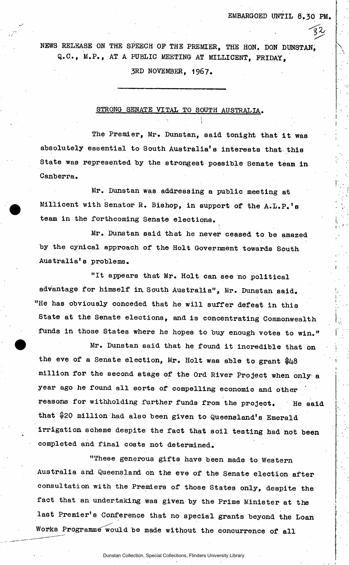NEWS RELEASE ON THE SPEECH OF THE PREMIER, THE HON. DON DUNSTAN, Q.C., M.P., AT A PUBLIC MEETING AT MILLICENT, FRIDAY,

3RD NOVEMBER, 1967.

## STRONG SENATE VITAL TO SOUTH AUSTRALIA.

The Premier, Mr. Dunstan, said tonight that it was absolutely essential to South Australia's interests that this State was represented by the strongest possible Senate team in Canberra.

Mr. Dunstan was addressing a public meeting at Millicent with Senator R. Bishop, in support of the A.L.P.'s team in the forthcoming Senate elections.

Mr. Dunstan said that he never ceased to be amazed by the cynical approach of the Holt Government towards South Australia's problems.

"It appears that Mr. Holt can see no political advantage for himself in South Australia", Mr. Dunstan said. "He has obviously conceded that he will suffer defeat in this State at the Senate elections, and is concentrating Commonwealth funds in those States where he hopes to buy enough votes to win."

Mr. Dunstan said that he found it incredible that on the eve of a Senate election, Mr. Holt was able to grant  $$48$ million for the second stage of the Ord River Project when only a year ago he found all sorts of compelling economic and other reasons for withholding further funds from the project. He said that \$20 million had also been given to Queensland's Emerald irrigation scheme despite the fact that soil testing had not been completed and final costs not determined.

"These generous gifts have been made to Western Australia and Queensland on the eve of the Senate election after consultation with the Premiers of those States only, despite the fact that an undertaking was given by the Prime Minister at the last Premier's Conference that no special grants beyond the Loan Works Programme would be made without the concurrence of all